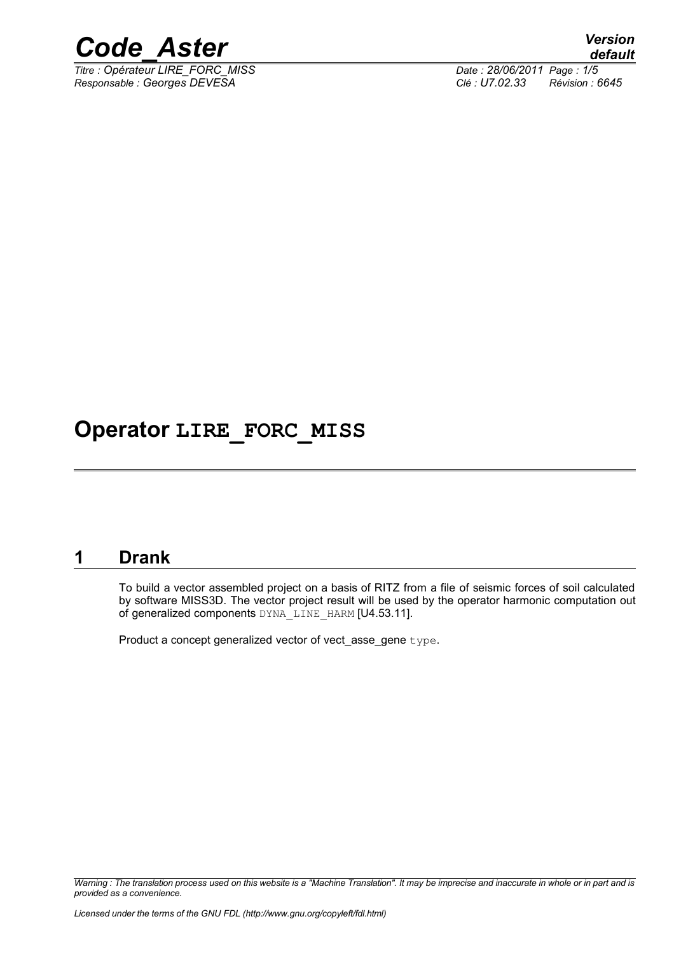

*Titre : Opérateur LIRE\_FORC\_MISS Date : 28/06/2011 Page : 1/5 Responsable : Georges DEVESA Clé : U7.02.33 Révision : 6645*

## **Operator LIRE\_FORC\_MISS**

### **1 Drank**

To build a vector assembled project on a basis of RITZ from a file of seismic forces of soil calculated by software MISS3D. The vector project result will be used by the operator harmonic computation out of generalized components DYNA\_LINE\_HARM [U4.53.11].

Product a concept generalized vector of vect asse\_gene type.

*Warning : The translation process used on this website is a "Machine Translation". It may be imprecise and inaccurate in whole or in part and is provided as a convenience.*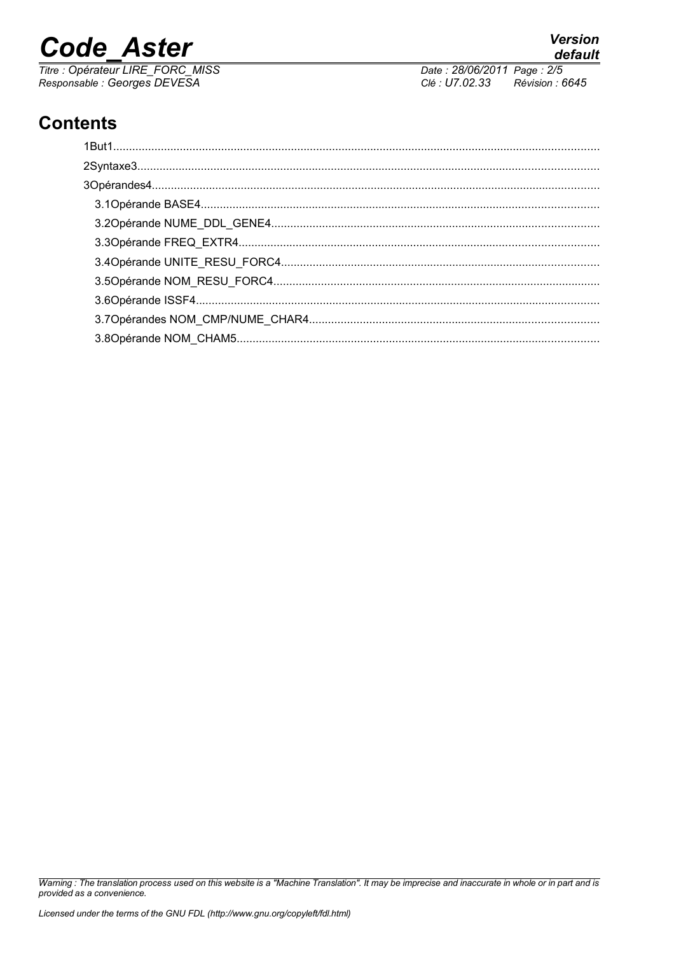# **Code Aster**

Titre : Opérateur LIRE\_FORC\_MISS<br>Responsable : Georges DEVESA

default Date: 28/06/2011 Page: 2/5 Clé : U7.02.33 Révision : 6645

**Version** 

### **Contents**

Warning : The translation process used on this website is a "Machine Translation". It may be imprecise and inaccurate in whole or in part and is provided as a convenience.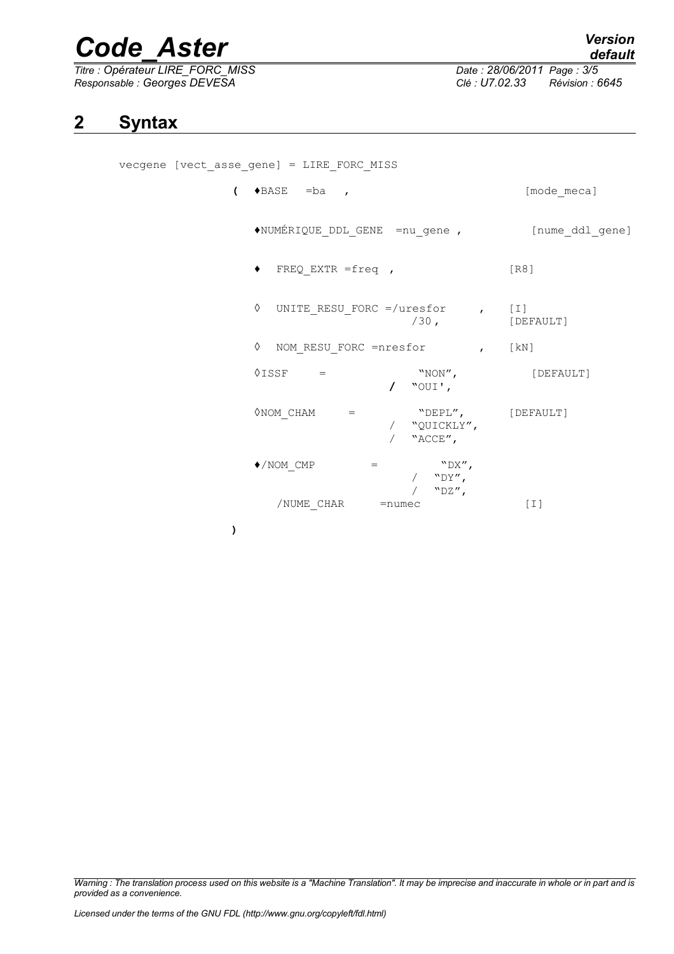# *Code\_Aster Version*

*Titre : Opérateur LIRE\_FORC\_MISS Date : 28/06/2011 Page : 3/5 Responsable : Georges DEVESA Clé : U7.02.33 Révision : 6645*

#### **2 Syntax**

vecgene [vect\_asse\_gene] = LIRE\_FORC\_MISS

| $\left(\rightarrow$ BASE = ba,                        | [mode meca]       |
|-------------------------------------------------------|-------------------|
| ◆NUMÉRIQUE_DDL_GENE =nu_gene,                         | [nume_ddl_gene]   |
| $\bullet$ FREQ EXTR =freq ,                           | [R8]              |
| $\Diamond$ UNITE RESU_FORC =/uresfor , [I]<br>$/30$ , | [DEFAULT]         |
| ♦ NOM RESU FORC =nresfor<br>$\mathbf{K}$ [kN]         |                   |
| $\Diamond$ ISSF =<br>"NON",<br>/ $"OUT',$             | [DEFAULT]         |
| / "QUICKLY",<br>/ $"ACCE",$                           |                   |
| $\blacklozenge$ /NOM CMP<br>"DX"<br>$=$<br>/ $"DY",$  |                   |
| / $"DZ",$<br>/NUME CHAR<br>$=$ numec                  | $\lceil 1 \rceil$ |

**)**

*Warning : The translation process used on this website is a "Machine Translation". It may be imprecise and inaccurate in whole or in part and is provided as a convenience.*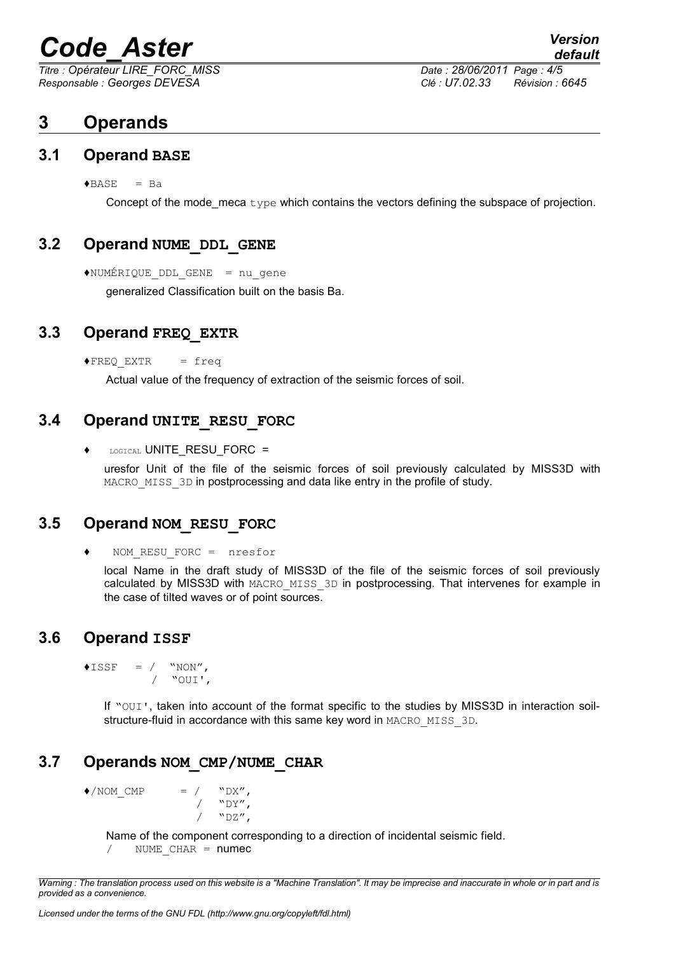# *Code\_Aster Version*

*Titre : Opérateur LIRE\_FORC\_MISS Date : 28/06/2011 Page : 4/5 Responsable : Georges DEVESA Clé : U7.02.33 Révision : 6645*

### **3 Operands**

#### **3.1 Operand BASE**

 $\triangle BASE = Ba$ 

Concept of the mode\_meca type which contains the vectors defining the subspace of projection.

#### **3.2 Operand NUME\_DDL\_GENE**

♦NUMÉRIQUE\_DDL\_GENE = nu\_gene

generalized Classification built on the basis Ba.

#### **3.3 Operand FREQ\_EXTR**

 $\triangle$ FREQ EXTR = freq

Actual value of the frequency of extraction of the seismic forces of soil.

#### **3.4 Operand UNITE\_RESU\_FORC**

 $\bullet$  LOGICAL UNITE\_RESU\_FORC =

uresfor Unit of the file of the seismic forces of soil previously calculated by MISS3D with MACRO MISS 3D in postprocessing and data like entry in the profile of study.

#### **3.5 Operand NOM\_RESU\_FORC**

♦ NOM\_RESU\_FORC = nresfor

local Name in the draft study of MISS3D of the file of the seismic forces of soil previously calculated by MISS3D with MACRO\_MISS\_3D in postprocessing. That intervenes for example in the case of tilted waves or of point sources.

#### **3.6 Operand ISSF**

 $\triangle$ ISSF = / "NON", / "OUI',

> If "OUI', taken into account of the format specific to the studies by MISS3D in interaction soilstructure-fluid in accordance with this same key word in MACRO\_MISS\_3D.

#### **3.7 Operands NOM\_CMP/NUME\_CHAR**

 $\bigwedge^{\bullet}/\text{NOM}$  CMP = / "DX",  $/$  "DY",

 $"$ <sup>DZ</sup>",

Name of the component corresponding to a direction of incidental seismic field. NUME  $CHAR =$  numec

*Warning : The translation process used on this website is a "Machine Translation". It may be imprecise and inaccurate in whole or in part and is provided as a convenience.*